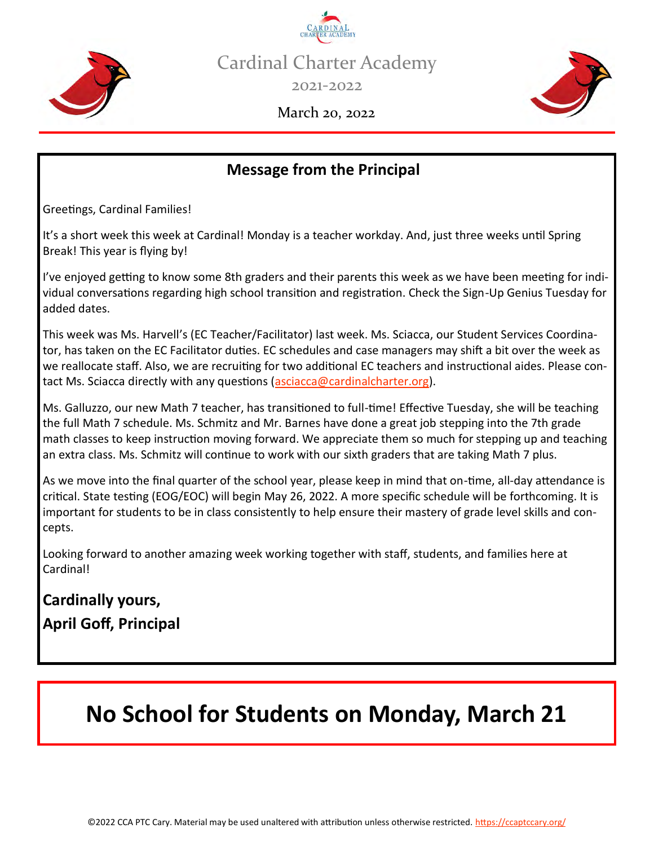



2021-2022



March 20, 2022

## **Message from the Principal**

Greetings, Cardinal Families!

It's a short week this week at Cardinal! Monday is a teacher workday. And, just three weeks until Spring Break! This year is flying by!

I've enjoyed getting to know some 8th graders and their parents this week as we have been meeting for individual conversations regarding high school transition and registration. Check the Sign-Up Genius Tuesday for added dates.

This week was Ms. Harvell's (EC Teacher/Facilitator) last week. Ms. Sciacca, our Student Services Coordinator, has taken on the EC Facilitator duties. EC schedules and case managers may shift a bit over the week as we reallocate staff. Also, we are recruiting for two additional EC teachers and instructional aides. Please con-tact Ms. Sciacca directly with any questions [\(asciacca@cardinalcharter.org\)](mailto:asciacca@cardinalcharter.org).

Ms. Galluzzo, our new Math 7 teacher, has transitioned to full-time! Effective Tuesday, she will be teaching the full Math 7 schedule. Ms. Schmitz and Mr. Barnes have done a great job stepping into the 7th grade math classes to keep instruction moving forward. We appreciate them so much for stepping up and teaching an extra class. Ms. Schmitz will continue to work with our sixth graders that are taking Math 7 plus.

As we move into the final quarter of the school year, please keep in mind that on-time, all-day attendance is critical. State testing (EOG/EOC) will begin May 26, 2022. A more specific schedule will be forthcoming. It is important for students to be in class consistently to help ensure their mastery of grade level skills and concepts.

Looking forward to another amazing week working together with staff, students, and families here at Cardinal!

# **Cardinally yours, April Goff, Principal**

# **No School for Students on Monday, March 21**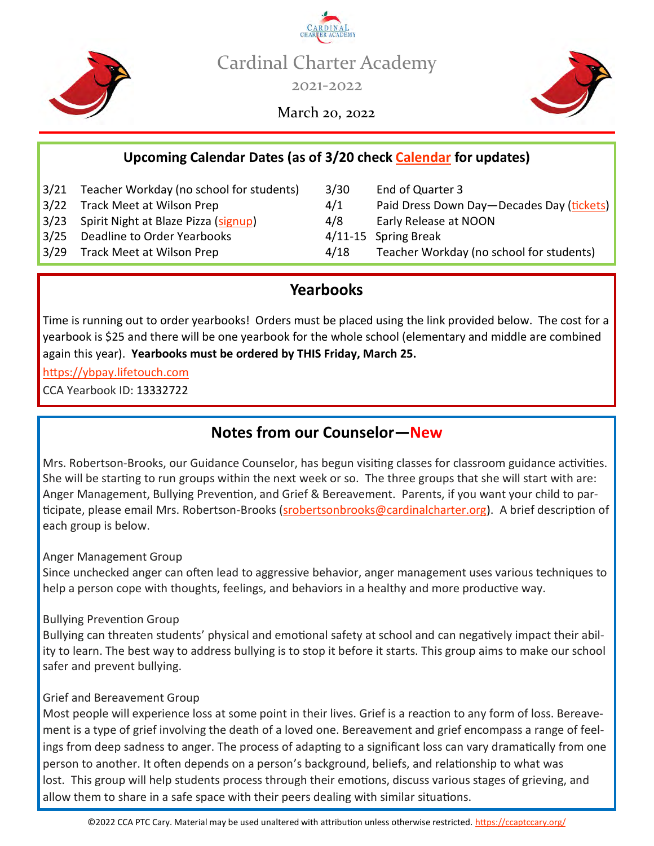



March 20, 2022



#### **Upcoming Calendar Dates (as of 3/20 check [Calendar](https://ccaptccary.org/calendar/) for updates)**

- 3/21 Teacher Workday (no school for students) 3/30 End of Quarter 3
- 
- 3/23 Spirit Night at Blaze Pizza ([signup\)](https://signup.com/go/ccaevents) 4/8 Early Release at NOON
- 3/25 Deadline to Order Yearbooks 4/11-15 Spring Break
- 
- 
- 3/22 Track Meet at Wilson Prep 1988 120 AV 2014 Paid Dress Down Day—Decades Day [\(tickets\)](https://give.classy.org/CCADD7Decades)
	-
	-
- 3/29 Track Meet at Wilson Prep 194/18 Teacher Workday (no school for students)

#### **Yearbooks**

Time is running out to order yearbooks! Orders must be placed using the link provided below. The cost for a yearbook is \$25 and there will be one yearbook for the whole school (elementary and middle are combined again this year). **Yearbooks must be ordered by THIS Friday, March 25.** 

[https://ybpay.lifetouch.com](https://ybpay.lifetouch.com/)

CCA Yearbook ID: 13332722

#### **Notes from our Counselor—New**

Mrs. Robertson-Brooks, our Guidance Counselor, has begun visiting classes for classroom guidance activities. She will be starting to run groups within the next week or so. The three groups that she will start with are: Anger Management, Bullying Prevention, and Grief & Bereavement. Parents, if you want your child to par-ticipate, please email Mrs. Robertson-Brooks [\(srobertsonbrooks@cardinalcharter.org\)](mailto:srobertsonbrooks@cardinalcharter.org). A brief description of each group is below.

Anger Management Group

Since unchecked anger can often lead to aggressive behavior, anger management uses various techniques to help a person cope with thoughts, feelings, and behaviors in a healthy and more productive way.

#### Bullying Prevention Group

Bullying can threaten students' physical and emotional safety at school and can negatively impact their ability to learn. The best way to address bullying is to stop it before it starts. This group aims to make our school safer and prevent bullying.

#### Grief and Bereavement Group

Most people will experience loss at some point in their lives. Grief is a reaction to any form of loss. Bereavement is a type of grief involving the death of a loved one. Bereavement and grief encompass a range of feelings from deep sadness to anger. The process of adapting to a significant loss can vary dramatically from one person to another. It often depends on a person's background, beliefs, and relationship to what was lost. This group will help students process through their emotions, discuss various stages of grieving, and allow them to share in a safe space with their peers dealing with similar situations.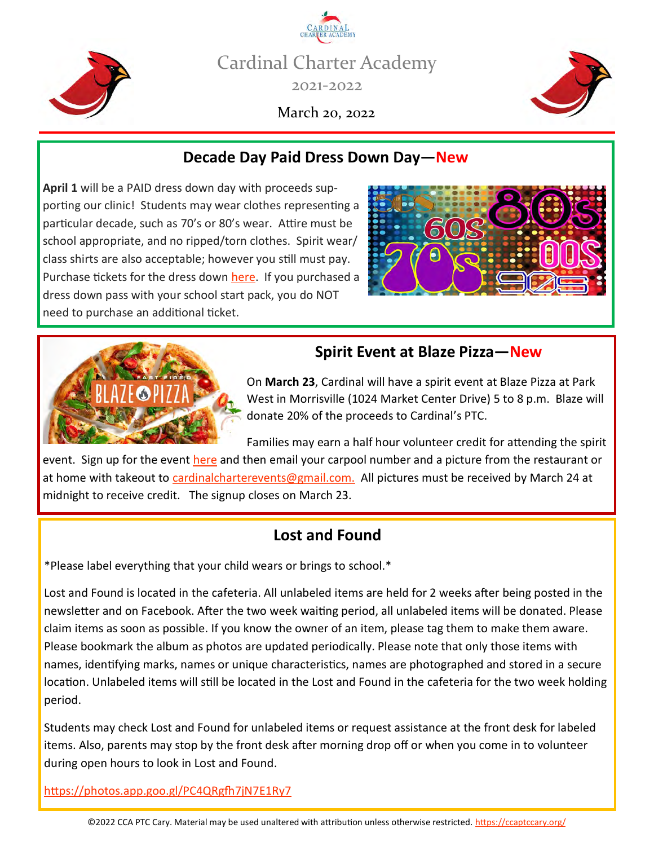

Cardinal Charter Academy 2021-2022

March 20, 2022



#### **Decade Day Paid Dress Down Day—New**

**April 1** will be a PAID dress down day with proceeds supporting our clinic! Students may wear clothes representing a particular decade, such as 70's or 80's wear. Attire must be school appropriate, and no ripped/torn clothes. Spirit wear/ class shirts are also acceptable; however you still must pay. Purchase tickets for the dress down [here.](https://give.classy.org/CCADD7Decades) If you purchased a dress down pass with your school start pack, you do NOT need to purchase an additional ticket.





#### **Spirit Event at Blaze Pizza—New**

On **March 23**, Cardinal will have a spirit event at Blaze Pizza at Park West in Morrisville (1024 Market Center Drive) 5 to 8 p.m. Blaze will donate 20% of the proceeds to Cardinal's PTC.

Families may earn a half hour volunteer credit for attending the spirit event. Sign up for the event [here](https://signup.com/go/ccaevents) and then email your carpool number and a picture from the restaurant or at home with takeout to [cardinalcharterevents@gmail.com.](mailto:cardinalcharterevents@gmail.com) All pictures must be received by March 24 at midnight to receive credit. The signup closes on March 23.

#### **Lost and Found**

\*Please label everything that your child wears or brings to school.\*

Lost and Found is located in the cafeteria. All unlabeled items are held for 2 weeks after being posted in the newsletter and on Facebook. After the two week waiting period, all unlabeled items will be donated. Please claim items as soon as possible. If you know the owner of an item, please tag them to make them aware. Please bookmark the album as photos are updated periodically. Please note that only those items with names, identifying marks, names or unique characteristics, names are photographed and stored in a secure location. Unlabeled items will still be located in the Lost and Found in the cafeteria for the two week holding period.

Students may check Lost and Found for unlabeled items or request assistance at the front desk for labeled items. Also, parents may stop by the front desk after morning drop off or when you come in to volunteer during open hours to look in Lost and Found.

[https://photos.app.goo.gl/PC4QRgfh7jN7E1Ry7](https://photos.app.goo.gl/PC4QRgfh7jN7E1Ry7?fbclid=IwAR3YwX8em2BHK0No9GXw-SIyYDLcoc-OU9vpu32kg07RSAe4OTAzU59DlEc)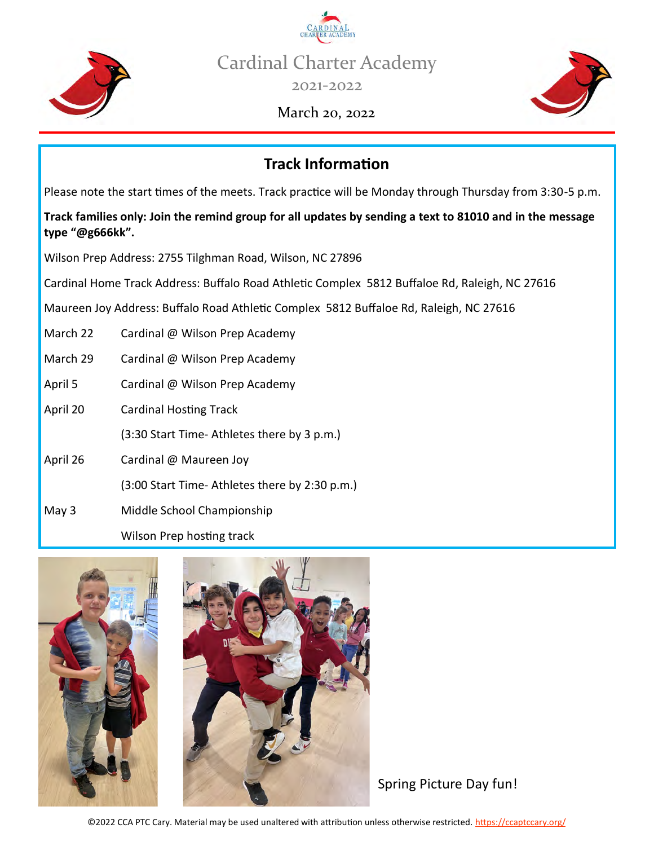

Cardinal Charter Academy

2021-2022

#### March 20, 2022



## **Track Information**

Please note the start times of the meets. Track practice will be Monday through Thursday from 3:30-5 p.m.

**Track families only: Join the remind group for all updates by sending a text to 81010 and in the message type "@g666kk".**

Wilson Prep Address: 2755 Tilghman Road, Wilson, NC 27896

Cardinal Home Track Address: Buffalo Road Athletic Complex 5812 Buffaloe Rd, Raleigh, NC 27616

Maureen Joy Address: Buffalo Road Athletic Complex 5812 Buffaloe Rd, Raleigh, NC 27616

- March 22 Cardinal @ Wilson Prep Academy
- March 29 Cardinal @ Wilson Prep Academy
- April 5 Cardinal @ Wilson Prep Academy
- April 20 Cardinal Hosting Track

(3:30 Start Time- Athletes there by 3 p.m.)

- April 26 Cardinal @ Maureen Joy
	- (3:00 Start Time- Athletes there by 2:30 p.m.)
- May 3 Middle School Championship

Wilson Prep hosting track





Spring Picture Day fun!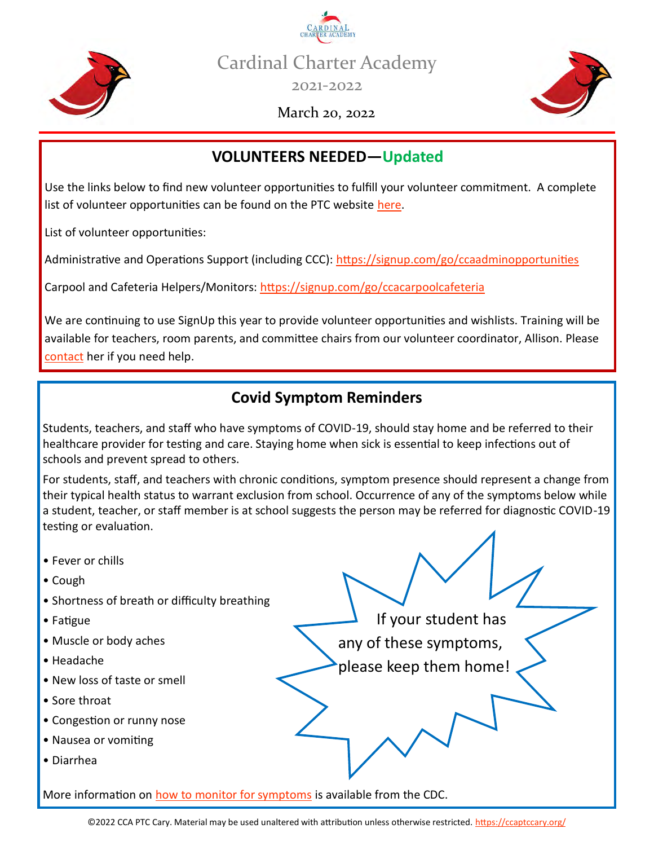



2021-2022

March 20, 2022



## **VOLUNTEERS NEEDED—Updated**

Use the links below to find new volunteer opportunities to fulfill your volunteer commitment. A complete list of volunteer opportunities can be found on the PTC website [here.](https://ccaptccary.org/volunteer-opportunities/)

List of volunteer opportunities:

Administrative and Operations Support (including CCC): https://signup.com/go/ccaadminopportunities

Carpool and Cafeteria Helpers/Monitors: <https://signup.com/go/ccacarpoolcafeteria>

We are continuing to use SignUp this year to provide volunteer opportunities and wishlists. Training will be available for teachers, room parents, and committee chairs from our volunteer coordinator, Allison. Please [contact](mailto:ccacommunityinvolvement@gmail.com) [her](mailto:ccacommunityinvolvement@gmail.com) if you need help.

#### **Covid Symptom Reminders**

Students, teachers, and staff who have symptoms of COVID-19, should stay home and be referred to their healthcare provider for testing and care. Staying home when sick is essential to keep infections out of schools and prevent spread to others.

For students, staff, and teachers with chronic conditions, symptom presence should represent a change from their typical health status to warrant exclusion from school. Occurrence of any of the symptoms below while a student, teacher, or staff member is at school suggests the person may be referred for diagnostic COVID-19 testing or evaluation.

If your student has

any of these symptoms,

please keep them home!

- Fever or chills
- Cough
- Shortness of breath or difficulty breathing
- Fatigue
- Muscle or body aches
- Headache
- New loss of taste or smell
- Sore throat
- Congestion or runny nose
- Nausea or vomiting
- Diarrhea

More information on [how to monitor for symptoms](https://www.cdc.gov/coronavirus/2019-ncov/community/schools-childcare/symptom-screening.html) is available from the CDC.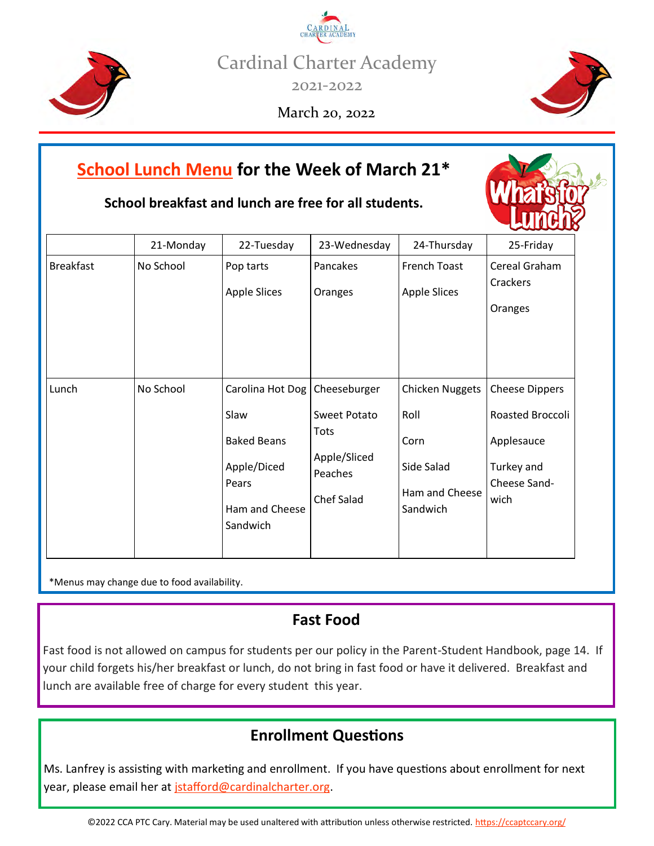Cardinal Charter Academy

2021-2022

March 20, 2022



**School breakfast and lunch are free for all students.**

|                  | 21-Monday | 22-Tuesday                      | 23-Wednesday | 24-Thursday            | 25-Friday             |
|------------------|-----------|---------------------------------|--------------|------------------------|-----------------------|
| <b>Breakfast</b> | No School | Pop tarts                       | Pancakes     | French Toast           | Cereal Graham         |
|                  |           | <b>Apple Slices</b>             | Oranges      | <b>Apple Slices</b>    | Crackers              |
|                  |           |                                 |              |                        | Oranges               |
|                  |           |                                 |              |                        |                       |
|                  |           |                                 |              |                        |                       |
|                  |           |                                 |              |                        |                       |
| Lunch            | No School | Carolina Hot Dog   Cheeseburger |              | <b>Chicken Nuggets</b> | <b>Cheese Dippers</b> |
|                  |           | Slaw                            | Sweet Potato | Roll                   | Roasted Broccoli      |
|                  |           | <b>Baked Beans</b>              | Tots         | Corn                   | Applesauce            |
|                  |           | Apple/Diced                     | Apple/Sliced | Side Salad             | Turkey and            |
|                  |           | Pears                           | Peaches      | Ham and Cheese         | Cheese Sand-          |
|                  |           | Ham and Cheese                  | Chef Salad   | Sandwich               | wich                  |
|                  |           | Sandwich                        |              |                        |                       |
|                  |           |                                 |              |                        |                       |

\*Menus may change due to food availability.

#### **Fast Food**

Fast food is not allowed on campus for students per our policy in the Parent-Student Handbook, page 14. If your child forgets his/her breakfast or lunch, do not bring in fast food or have it delivered. Breakfast and lunch are available free of charge for every student this year.

## **Enrollment Questions**

Ms. Lanfrey is assisting with marketing and enrollment. If you have questions about enrollment for next year, please email her at [jstafford@cardinalcharter.org.](mailto:jstafford@cardinalcharter.org)





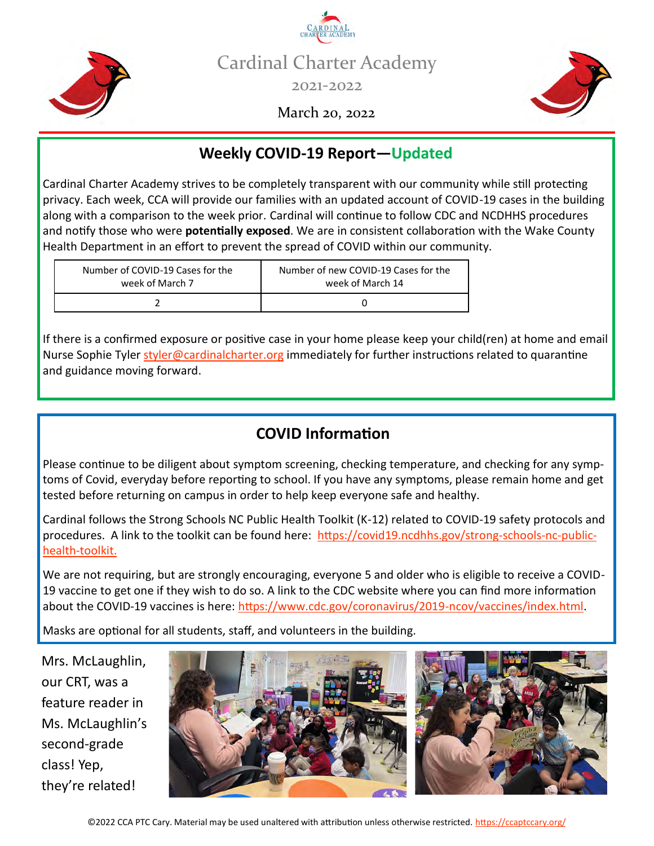



March 20, 2022



## **Weekly COVID-19 Report—Updated**

Cardinal Charter Academy strives to be completely transparent with our community while still protecting privacy. Each week, CCA will provide our families with an updated account of COVID-19 cases in the building along with a comparison to the week prior. Cardinal will continue to follow CDC and NCDHHS procedures and notify those who were **potentially exposed**. We are in consistent collaboration with the Wake County Health Department in an effort to prevent the spread of COVID within our community.

| Number of COVID-19 Cases for the | Number of new COVID-19 Cases for the |  |
|----------------------------------|--------------------------------------|--|
| week of March 7                  | week of March 14                     |  |
|                                  |                                      |  |

If there is a confirmed exposure or positive case in your home please keep your child(ren) at home and email Nurse Sophie Tyler [styler@cardinalcharter.org](mailto:styler@cardinalcharter.org) immediately for further instructions related to quarantine and guidance moving forward.

#### **COVID Information**

Please continue to be diligent about symptom screening, checking temperature, and checking for any symptoms of Covid, everyday before reporting to school. If you have any symptoms, please remain home and get tested before returning on campus in order to help keep everyone safe and healthy.

Cardinal follows the Strong Schools NC Public Health Toolkit (K-12) related to COVID-19 safety protocols and procedures. A link to the toolkit can be found here: [https://covid19.ncdhhs.gov/strong](https://covid19.ncdhhs.gov/strong-schools-nc-public-health-toolkit)-schools-nc-publichealth-[toolkit.](https://covid19.ncdhhs.gov/strong-schools-nc-public-health-toolkit)

We are not requiring, but are strongly encouraging, everyone 5 and older who is eligible to receive a COVID-19 vaccine to get one if they wish to do so. A link to the CDC website where you can find more information about the COVID-19 vaccines is here: [https://www.cdc.gov/coronavirus/2019](https://www.cdc.gov/coronavirus/2019-ncov/vaccines/index.html)-ncov/vaccines/index.html.

Masks are optional for all students, staff, and volunteers in the building.

Mrs. McLaughlin, our CRT, was a feature reader in Ms. McLaughlin's second-grade class! Yep, they're related!

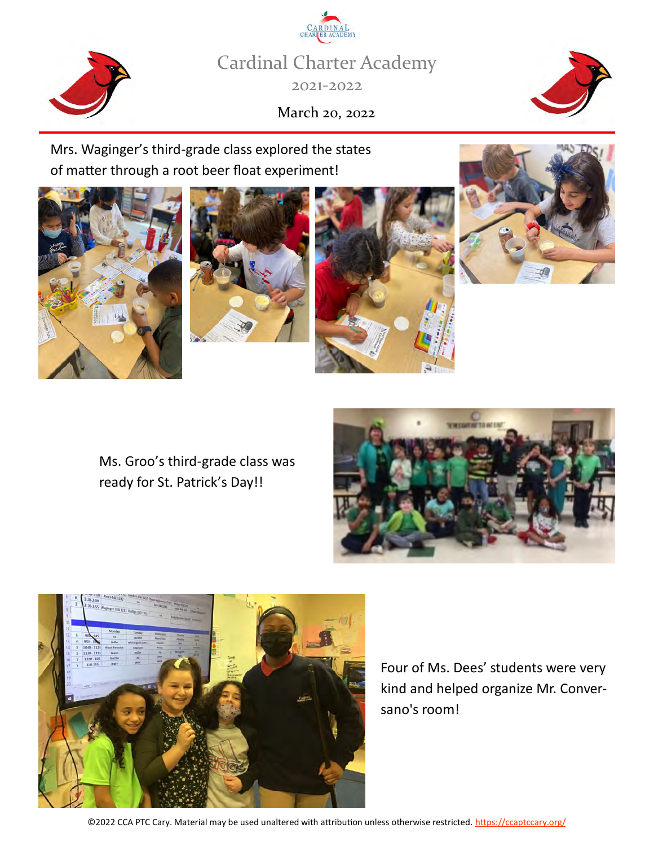Cardinal Charter Academy 2021-2022

March 20, 2022

Mrs. Waginger's third-grade class explored the states of matter through a root beer float experiment!





Four of Ms. Dees' students were very

kind and helped organize Mr. Conver-

sano's room!











©2022 CCA PTC Cary. Material may be used unaltered with attribution unless otherwise restricted. <https://ccaptccary.org/>